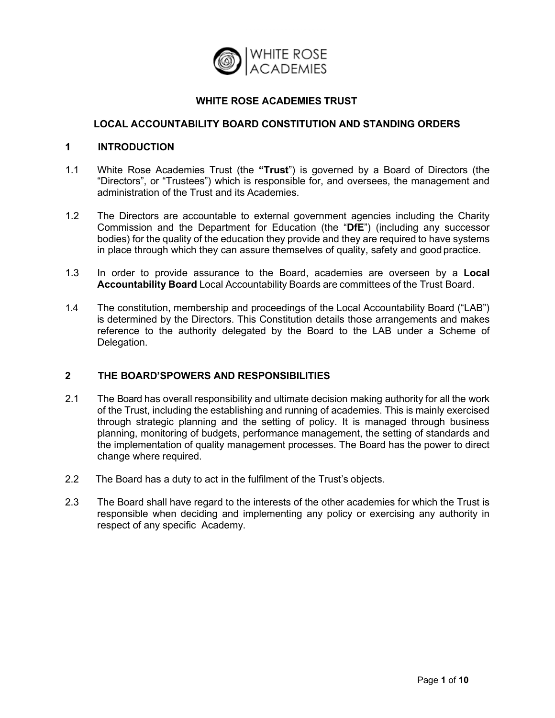

## **WHITE ROSE ACADEMIES TRUST**

#### **LOCAL ACCOUNTABILITY BOARD CONSTITUTION AND STANDING ORDERS**

#### **1 INTRODUCTION**

- 1.1 White Rose Academies Trust (the **"Trust**") is governed by a Board of Directors (the "Directors", or "Trustees") which is responsible for, and oversees, the management and administration of the Trust and its Academies.
- 1.2 The Directors are accountable to external government agencies including the Charity Commission and the Department for Education (the "**DfE**") (including any successor bodies) for the quality of the education they provide and they are required to have systems in place through which they can assure themselves of quality, safety and good practice.
- 1.3 In order to provide assurance to the Board, academies are overseen by a **Local Accountability Board** Local Accountability Boards are committees of the Trust Board.
- 1.4 The constitution, membership and proceedings of the Local Accountability Board ("LAB") is determined by the Directors. This Constitution details those arrangements and makes reference to the authority delegated by the Board to the LAB under a Scheme of Delegation.

## **2 THE BOARD'SPOWERS AND RESPONSIBILITIES**

- 2.1 The Board has overall responsibility and ultimate decision making authority for all the work of the Trust, including the establishing and running of academies. This is mainly exercised through strategic planning and the setting of policy. It is managed through business planning, monitoring of budgets, performance management, the setting of standards and the implementation of quality management processes. The Board has the power to direct change where required.
- 2.2 The Board has a duty to act in the fulfilment of the Trust's objects.
- 2.3 The Board shall have regard to the interests of the other academies for which the Trust is responsible when deciding and implementing any policy or exercising any authority in respect of any specific Academy.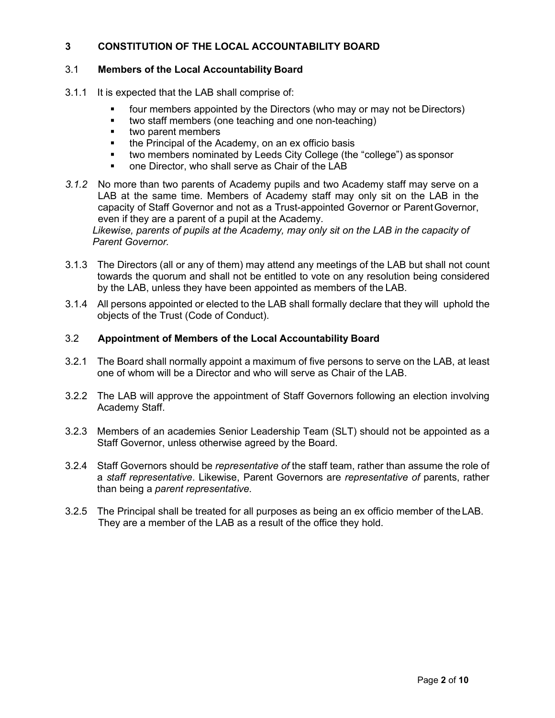# **3 CONSTITUTION OF THE LOCAL ACCOUNTABILITY BOARD**

## 3.1 **Members of the Local Accountability Board**

- 3.1.1 It is expected that the LAB shall comprise of:
	- four members appointed by the Directors (who may or may not be Directors)
	- **times** two staff members (one teaching and one non-teaching)
	- **two parent members**
	- the Principal of the Academy, on an ex officio basis
	- two members nominated by Leeds City College (the "college") as sponsor
	- one Director, who shall serve as Chair of the LAB
- *3.1.2* No more than two parents of Academy pupils and two Academy staff may serve on a LAB at the same time. Members of Academy staff may only sit on the LAB in the capacity of Staff Governor and not as a Trust-appointed Governor or ParentGovernor, even if they are a parent of a pupil at the Academy.

*Likewise, parents of pupils at the Academy, may only sit on the LAB in the capacity of Parent Governor.*

- 3.1.3 The Directors (all or any of them) may attend any meetings of the LAB but shall not count towards the quorum and shall not be entitled to vote on any resolution being considered by the LAB, unless they have been appointed as members of the LAB.
- 3.1.4 All persons appointed or elected to the LAB shall formally declare that they will uphold the objects of the Trust (Code of Conduct).

## 3.2 **Appointment of Members of the Local Accountability Board**

- 3.2.1 The Board shall normally appoint a maximum of five persons to serve on the LAB, at least one of whom will be a Director and who will serve as Chair of the LAB.
- 3.2.2 The LAB will approve the appointment of Staff Governors following an election involving Academy Staff.
- 3.2.3 Members of an academies Senior Leadership Team (SLT) should not be appointed as a Staff Governor, unless otherwise agreed by the Board.
- 3.2.4 Staff Governors should be *representative of* the staff team, rather than assume the role of a *staff representative*. Likewise, Parent Governors are *representative of* parents, rather than being a *parent representative*.
- 3.2.5 The Principal shall be treated for all purposes as being an ex officio member of theLAB. They are a member of the LAB as a result of the office they hold.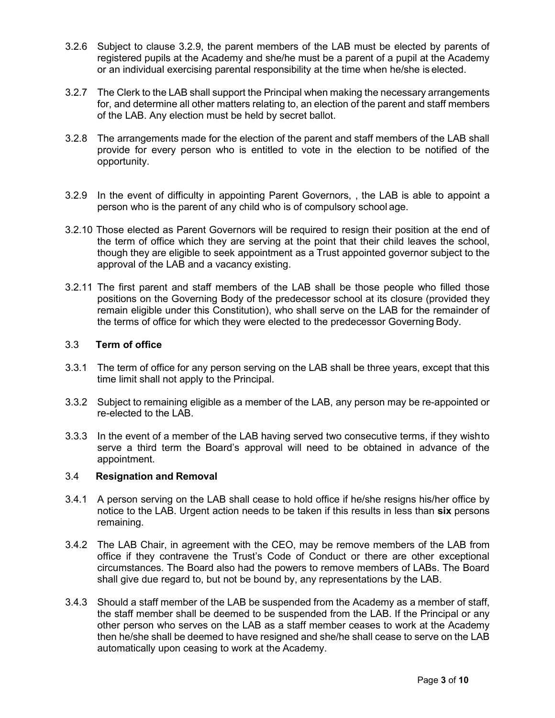- 3.2.6 Subject to clause 3.2.9, the parent members of the LAB must be elected by parents of registered pupils at the Academy and she/he must be a parent of a pupil at the Academy or an individual exercising parental responsibility at the time when he/she is elected.
- 3.2.7 The Clerk to the LAB shall support the Principal when making the necessary arrangements for, and determine all other matters relating to, an election of the parent and staff members of the LAB. Any election must be held by secret ballot.
- 3.2.8 The arrangements made for the election of the parent and staff members of the LAB shall provide for every person who is entitled to vote in the election to be notified of the opportunity.
- 3.2.9 In the event of difficulty in appointing Parent Governors, , the LAB is able to appoint a person who is the parent of any child who is of compulsory school age.
- 3.2.10 Those elected as Parent Governors will be required to resign their position at the end of the term of office which they are serving at the point that their child leaves the school, though they are eligible to seek appointment as a Trust appointed governor subject to the approval of the LAB and a vacancy existing.
- 3.2.11 The first parent and staff members of the LAB shall be those people who filled those positions on the Governing Body of the predecessor school at its closure (provided they remain eligible under this Constitution), who shall serve on the LAB for the remainder of the terms of office for which they were elected to the predecessor Governing Body.

#### 3.3 **Term of office**

- 3.3.1 The term of office for any person serving on the LAB shall be three years, except that this time limit shall not apply to the Principal.
- 3.3.2 Subject to remaining eligible as a member of the LAB, any person may be re-appointed or re-elected to the LAB.
- 3.3.3 In the event of a member of the LAB having served two consecutive terms, if they wishto serve a third term the Board's approval will need to be obtained in advance of the appointment.

#### 3.4 **Resignation and Removal**

- 3.4.1 A person serving on the LAB shall cease to hold office if he/she resigns his/her office by notice to the LAB. Urgent action needs to be taken if this results in less than **six** persons remaining.
- 3.4.2 The LAB Chair, in agreement with the CEO, may be remove members of the LAB from office if they contravene the Trust's Code of Conduct or there are other exceptional circumstances. The Board also had the powers to remove members of LABs. The Board shall give due regard to, but not be bound by, any representations by the LAB.
- 3.4.3 Should a staff member of the LAB be suspended from the Academy as a member of staff, the staff member shall be deemed to be suspended from the LAB. If the Principal or any other person who serves on the LAB as a staff member ceases to work at the Academy then he/she shall be deemed to have resigned and she/he shall cease to serve on the LAB automatically upon ceasing to work at the Academy.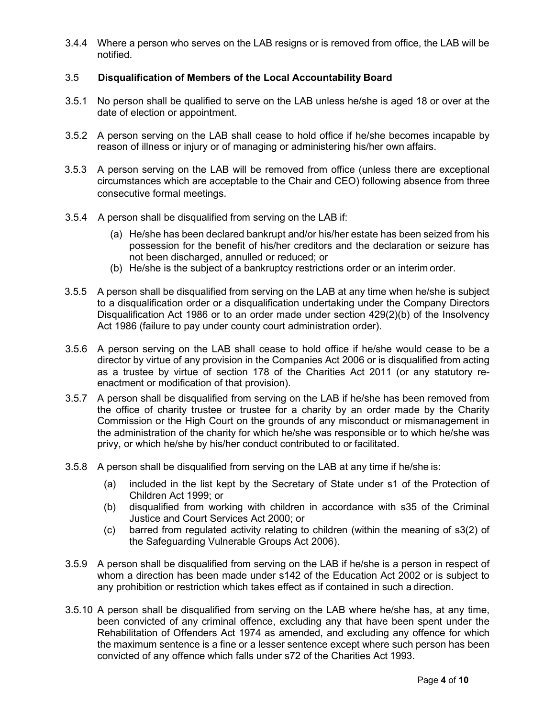3.4.4 Where a person who serves on the LAB resigns or is removed from office, the LAB will be notified.

## 3.5 **Disqualification of Members of the Local Accountability Board**

- 3.5.1 No person shall be qualified to serve on the LAB unless he/she is aged 18 or over at the date of election or appointment.
- 3.5.2 A person serving on the LAB shall cease to hold office if he/she becomes incapable by reason of illness or injury or of managing or administering his/her own affairs.
- 3.5.3 A person serving on the LAB will be removed from office (unless there are exceptional circumstances which are acceptable to the Chair and CEO) following absence from three consecutive formal meetings.
- 3.5.4 A person shall be disqualified from serving on the LAB if:
	- (a) He/she has been declared bankrupt and/or his/her estate has been seized from his possession for the benefit of his/her creditors and the declaration or seizure has not been discharged, annulled or reduced; or
	- (b) He/she is the subject of a bankruptcy restrictions order or an interim order.
- 3.5.5 A person shall be disqualified from serving on the LAB at any time when he/she is subject to a disqualification order or a disqualification undertaking under the Company Directors Disqualification Act 1986 or to an order made under section 429(2)(b) of the Insolvency Act 1986 (failure to pay under county court administration order).
- 3.5.6 A person serving on the LAB shall cease to hold office if he/she would cease to be a director by virtue of any provision in the Companies Act 2006 or is disqualified from acting as a trustee by virtue of section 178 of the Charities Act 2011 (or any statutory reenactment or modification of that provision).
- 3.5.7 A person shall be disqualified from serving on the LAB if he/she has been removed from the office of charity trustee or trustee for a charity by an order made by the Charity Commission or the High Court on the grounds of any misconduct or mismanagement in the administration of the charity for which he/she was responsible or to which he/she was privy, or which he/she by his/her conduct contributed to or facilitated.
- 3.5.8 A person shall be disqualified from serving on the LAB at any time if he/she is:
	- (a) included in the list kept by the Secretary of State under s1 of the Protection of Children Act 1999; or
	- (b) disqualified from working with children in accordance with s35 of the Criminal Justice and Court Services Act 2000; or
	- (c) barred from regulated activity relating to children (within the meaning of s3(2) of the Safeguarding Vulnerable Groups Act 2006).
- 3.5.9 A person shall be disqualified from serving on the LAB if he/she is a person in respect of whom a direction has been made under s142 of the Education Act 2002 or is subject to any prohibition or restriction which takes effect as if contained in such a direction.
- 3.5.10 A person shall be disqualified from serving on the LAB where he/she has, at any time, been convicted of any criminal offence, excluding any that have been spent under the Rehabilitation of Offenders Act 1974 as amended, and excluding any offence for which the maximum sentence is a fine or a lesser sentence except where such person has been convicted of any offence which falls under s72 of the Charities Act 1993.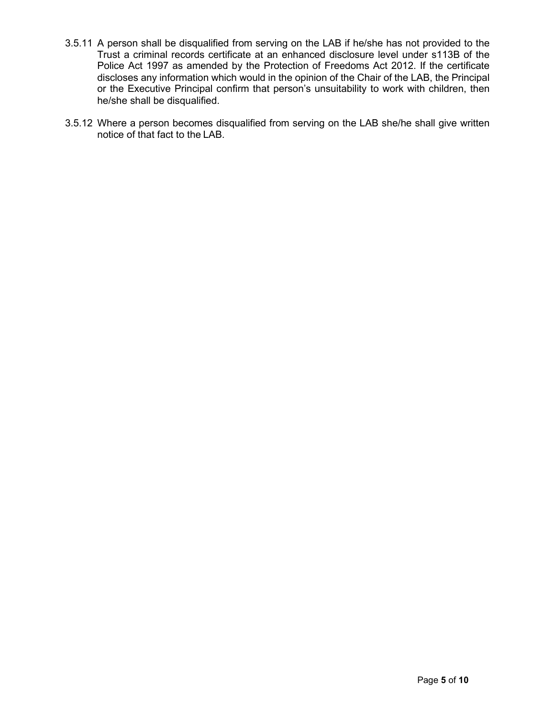- 3.5.11 A person shall be disqualified from serving on the LAB if he/she has not provided to the Trust a criminal records certificate at an enhanced disclosure level under s113B of the Police Act 1997 as amended by the Protection of Freedoms Act 2012. If the certificate discloses any information which would in the opinion of the Chair of the LAB, the Principal or the Executive Principal confirm that person's unsuitability to work with children, then he/she shall be disqualified.
- 3.5.12 Where a person becomes disqualified from serving on the LAB she/he shall give written notice of that fact to the LAB.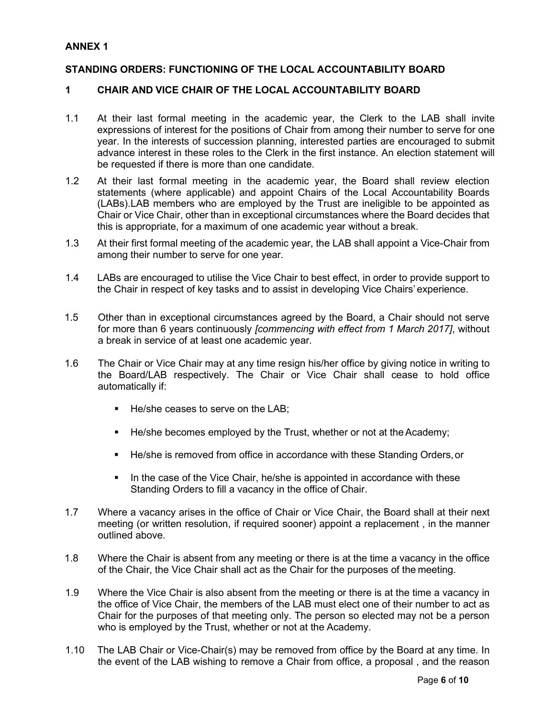### **ANNEX 1**

### **STANDING ORDERS: FUNCTIONING OF THE LOCAL ACCOUNTABILITY BOARD**

## **1 CHAIR AND VICE CHAIR OF THE LOCAL ACCOUNTABILITY BOARD**

- 1.1 At their last formal meeting in the academic year, the Clerk to the LAB shall invite expressions of interest for the positions of Chair from among their number to serve for one year. In the interests of succession planning, interested parties are encouraged to submit advance interest in these roles to the Clerk in the first instance. An election statement will be requested if there is more than one candidate.
- 1.2 At their last formal meeting in the academic year, the Board shall review election statements (where applicable) and appoint Chairs of the Local Accountability Boards (LABs).LAB members who are employed by the Trust are ineligible to be appointed as Chair or Vice Chair, other than in exceptional circumstances where the Board decides that this is appropriate, for a maximum of one academic year without a break.
- 1.3 At their first formal meeting of the academic year, the LAB shall appoint a Vice-Chair from among their number to serve for one year.
- 1.4 LABs are encouraged to utilise the Vice Chair to best effect, in order to provide support to the Chair in respect of key tasks and to assist in developing Vice Chairs' experience.
- 1.5 Other than in exceptional circumstances agreed by the Board, a Chair should not serve for more than 6 years continuously *[commencing with effect from 1 March 2017]*, without a break in service of at least one academic year.
- 1.6 The Chair or Vice Chair may at any time resign his/her office by giving notice in writing to the Board/LAB respectively. The Chair or Vice Chair shall cease to hold office automatically if:
	- He/she ceases to serve on the LAB;
	- He/she becomes employed by the Trust, whether or not at the Academy;
	- He/she is removed from office in accordance with these Standing Orders,or
	- In the case of the Vice Chair, he/she is appointed in accordance with these Standing Orders to fill a vacancy in the office of Chair.
- 1.7 Where a vacancy arises in the office of Chair or Vice Chair, the Board shall at their next meeting (or written resolution, if required sooner) appoint a replacement , in the manner outlined above.
- 1.8 Where the Chair is absent from any meeting or there is at the time a vacancy in the office of the Chair, the Vice Chair shall act as the Chair for the purposes of the meeting.
- 1.9 Where the Vice Chair is also absent from the meeting or there is at the time a vacancy in the office of Vice Chair, the members of the LAB must elect one of their number to act as Chair for the purposes of that meeting only. The person so elected may not be a person who is employed by the Trust, whether or not at the Academy.
- 1.10 The LAB Chair or Vice-Chair(s) may be removed from office by the Board at any time. In the event of the LAB wishing to remove a Chair from office, a proposal , and the reason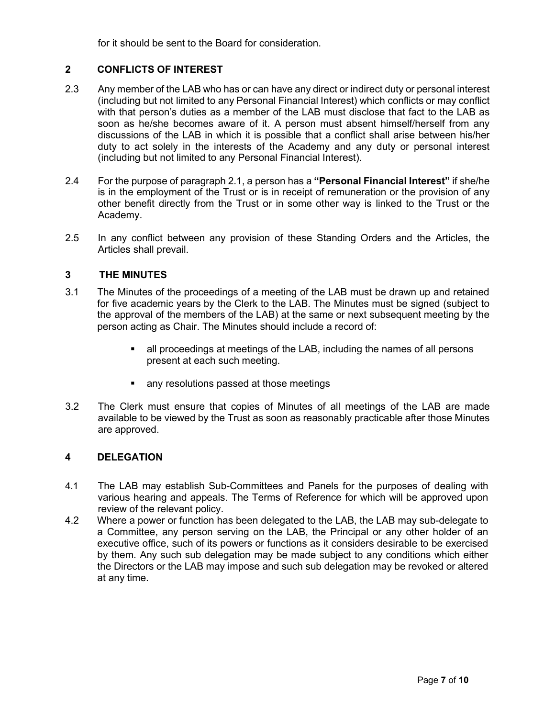for it should be sent to the Board for consideration.

# **2 CONFLICTS OF INTEREST**

- 2.3 Any member of the LAB who has or can have any direct or indirect duty or personal interest (including but not limited to any Personal Financial Interest) which conflicts or may conflict with that person's duties as a member of the LAB must disclose that fact to the LAB as soon as he/she becomes aware of it. A person must absent himself/herself from any discussions of the LAB in which it is possible that a conflict shall arise between his/her duty to act solely in the interests of the Academy and any duty or personal interest (including but not limited to any Personal Financial Interest).
- 2.4 For the purpose of paragraph 2.1, a person has a **"Personal Financial Interest"** if she/he is in the employment of the Trust or is in receipt of remuneration or the provision of any other benefit directly from the Trust or in some other way is linked to the Trust or the Academy.
- 2.5 In any conflict between any provision of these Standing Orders and the Articles, the Articles shall prevail.

## **3 THE MINUTES**

- 3.1 The Minutes of the proceedings of a meeting of the LAB must be drawn up and retained for five academic years by the Clerk to the LAB. The Minutes must be signed (subject to the approval of the members of the LAB) at the same or next subsequent meeting by the person acting as Chair. The Minutes should include a record of:
	- all proceedings at meetings of the LAB, including the names of all persons present at each such meeting.
	- **any resolutions passed at those meetings**
- 3.2 The Clerk must ensure that copies of Minutes of all meetings of the LAB are made available to be viewed by the Trust as soon as reasonably practicable after those Minutes are approved.

#### **4 DELEGATION**

- 4.1 The LAB may establish Sub-Committees and Panels for the purposes of dealing with various hearing and appeals. The Terms of Reference for which will be approved upon review of the relevant policy.
- 4.2 Where a power or function has been delegated to the LAB, the LAB may sub-delegate to a Committee, any person serving on the LAB, the Principal or any other holder of an executive office, such of its powers or functions as it considers desirable to be exercised by them. Any such sub delegation may be made subject to any conditions which either the Directors or the LAB may impose and such sub delegation may be revoked or altered at any time.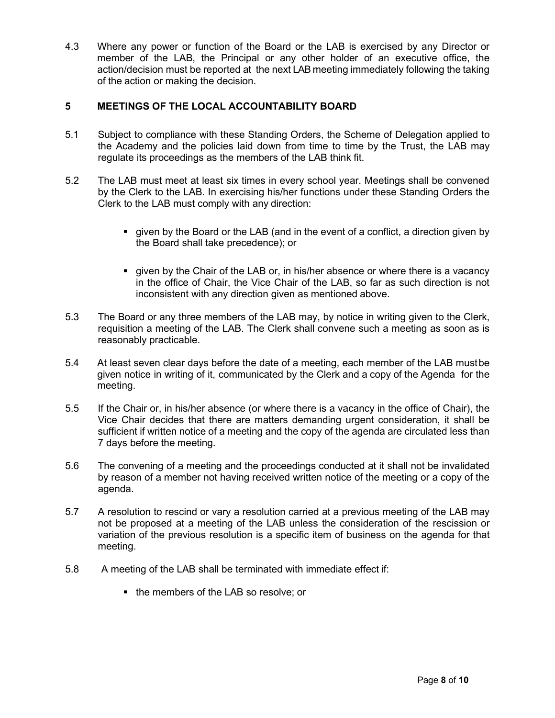4.3 Where any power or function of the Board or the LAB is exercised by any Director or member of the LAB, the Principal or any other holder of an executive office, the action/decision must be reported at the next LAB meeting immediately following the taking of the action or making the decision.

# **5 MEETINGS OF THE LOCAL ACCOUNTABILITY BOARD**

- 5.1 Subject to compliance with these Standing Orders, the Scheme of Delegation applied to the Academy and the policies laid down from time to time by the Trust, the LAB may regulate its proceedings as the members of the LAB think fit.
- 5.2 The LAB must meet at least six times in every school year. Meetings shall be convened by the Clerk to the LAB. In exercising his/her functions under these Standing Orders the Clerk to the LAB must comply with any direction:
	- given by the Board or the LAB (and in the event of a conflict, a direction given by the Board shall take precedence); or
	- given by the Chair of the LAB or, in his/her absence or where there is a vacancy in the office of Chair, the Vice Chair of the LAB, so far as such direction is not inconsistent with any direction given as mentioned above.
- 5.3 The Board or any three members of the LAB may, by notice in writing given to the Clerk, requisition a meeting of the LAB. The Clerk shall convene such a meeting as soon as is reasonably practicable.
- 5.4 At least seven clear days before the date of a meeting, each member of the LAB mustbe given notice in writing of it, communicated by the Clerk and a copy of the Agenda for the meeting.
- 5.5 If the Chair or, in his/her absence (or where there is a vacancy in the office of Chair), the Vice Chair decides that there are matters demanding urgent consideration, it shall be sufficient if written notice of a meeting and the copy of the agenda are circulated less than 7 days before the meeting.
- 5.6 The convening of a meeting and the proceedings conducted at it shall not be invalidated by reason of a member not having received written notice of the meeting or a copy of the agenda.
- 5.7 A resolution to rescind or vary a resolution carried at a previous meeting of the LAB may not be proposed at a meeting of the LAB unless the consideration of the rescission or variation of the previous resolution is a specific item of business on the agenda for that meeting.
- 5.8 A meeting of the LAB shall be terminated with immediate effect if:
	- the members of the LAB so resolve; or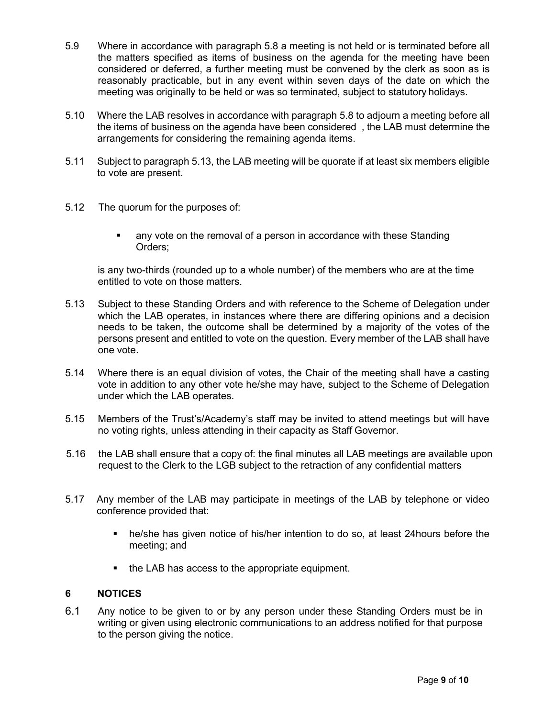- 5.9 Where in accordance with paragraph 5.8 a meeting is not held or is terminated before all the matters specified as items of business on the agenda for the meeting have been considered or deferred, a further meeting must be convened by the clerk as soon as is reasonably practicable, but in any event within seven days of the date on which the meeting was originally to be held or was so terminated, subject to statutory holidays.
- 5.10 Where the LAB resolves in accordance with paragraph 5.8 to adjourn a meeting before all the items of business on the agenda have been considered , the LAB must determine the arrangements for considering the remaining agenda items.
- 5.11 Subject to paragraph 5.13, the LAB meeting will be quorate if at least six members eligible to vote are present.
- 5.12 The quorum for the purposes of:
	- any vote on the removal of a person in accordance with these Standing Orders;

is any two-thirds (rounded up to a whole number) of the members who are at the time entitled to vote on those matters.

- 5.13 Subject to these Standing Orders and with reference to the Scheme of Delegation under which the LAB operates, in instances where there are differing opinions and a decision needs to be taken, the outcome shall be determined by a majority of the votes of the persons present and entitled to vote on the question. Every member of the LAB shall have one vote.
- 5.14 Where there is an equal division of votes, the Chair of the meeting shall have a casting vote in addition to any other vote he/she may have, subject to the Scheme of Delegation under which the LAB operates.
- 5.15 Members of the Trust's/Academy's staff may be invited to attend meetings but will have no voting rights, unless attending in their capacity as Staff Governor.
- 5.16 the LAB shall ensure that a copy of: the final minutes all LAB meetings are available upon request to the Clerk to the LGB subject to the retraction of any confidential matters
- 5.17 Any member of the LAB may participate in meetings of the LAB by telephone or video conference provided that:
	- he/she has given notice of his/her intention to do so, at least 24hours before the meeting; and
	- the LAB has access to the appropriate equipment.

## **6 NOTICES**

6.1 Any notice to be given to or by any person under these Standing Orders must be in writing or given using electronic communications to an address notified for that purpose to the person giving the notice.